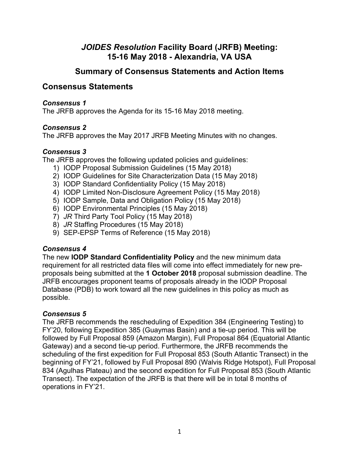## *JOIDES Resolution* **Facility Board (JRFB) Meeting: 15-16 May 2018 - Alexandria, VA USA**

## **Summary of Consensus Statements and Action Items**

## **Consensus Statements**

#### *Consensus 1*

The JRFB approves the Agenda for its 15-16 May 2018 meeting.

#### *Consensus 2*

The JRFB approves the May 2017 JRFB Meeting Minutes with no changes.

#### *Consensus 3*

The JRFB approves the following updated policies and guidelines:

- 1) IODP Proposal Submission Guidelines (15 May 2018)
- 2) IODP Guidelines for Site Characterization Data (15 May 2018)
- 3) IODP Standard Confidentiality Policy (15 May 2018)
- 4) IODP Limited Non-Disclosure Agreement Policy (15 May 2018)
- 5) IODP Sample, Data and Obligation Policy (15 May 2018)
- 6) IODP Environmental Principles (15 May 2018)
- 7) *JR* Third Party Tool Policy (15 May 2018)
- 8) *JR* Staffing Procedures (15 May 2018)
- 9) SEP-EPSP Terms of Reference (15 May 2018)

#### *Consensus 4*

The new **IODP Standard Confidentiality Policy** and the new minimum data requirement for all restricted data files will come into effect immediately for new preproposals being submitted at the **1 October 2018** proposal submission deadline. The JRFB encourages proponent teams of proposals already in the IODP Proposal Database (PDB) to work toward all the new guidelines in this policy as much as possible.

#### *Consensus 5*

The JRFB recommends the rescheduling of Expedition 384 (Engineering Testing) to FY'20, following Expedition 385 (Guaymas Basin) and a tie-up period. This will be followed by Full Proposal 859 (Amazon Margin), Full Proposal 864 (Equatorial Atlantic Gateway) and a second tie-up period. Furthermore, the JRFB recommends the scheduling of the first expedition for Full Proposal 853 (South Atlantic Transect) in the beginning of FY'21, followed by Full Proposal 890 (Walvis Ridge Hotspot), Full Proposal 834 (Agulhas Plateau) and the second expedition for Full Proposal 853 (South Atlantic Transect). The expectation of the JRFB is that there will be in total 8 months of operations in FY'21.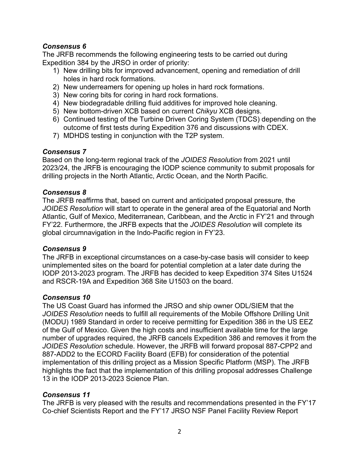#### *Consensus 6*

The JRFB recommends the following engineering tests to be carried out during Expedition 384 by the JRSO in order of priority:

- 1) New drilling bits for improved advancement, opening and remediation of drill holes in hard rock formations.
- 2) New underreamers for opening up holes in hard rock formations.
- 3) New coring bits for coring in hard rock formations.
- 4) New biodegradable drilling fluid additives for improved hole cleaning.
- 5) New bottom-driven XCB based on current *Chikyu* XCB designs.
- 6) Continued testing of the Turbine Driven Coring System (TDCS) depending on the outcome of first tests during Expedition 376 and discussions with CDEX.
- 7) MDHDS testing in conjunction with the T2P system.

#### *Consensus 7*

Based on the long-term regional track of the *JOIDES Resolution* from 2021 until 2023/24, the JRFB is encouraging the IODP science community to submit proposals for drilling projects in the North Atlantic, Arctic Ocean, and the North Pacific.

#### *Consensus 8*

The JRFB reaffirms that, based on current and anticipated proposal pressure, the *JOIDES Resolution* will start to operate in the general area of the Equatorial and North Atlantic, Gulf of Mexico, Mediterranean, Caribbean, and the Arctic in FY'21 and through FY'22. Furthermore, the JRFB expects that the *JOIDES Resolution* will complete its global circumnavigation in the Indo-Pacific region in FY'23.

#### *Consensus 9*

The JRFB in exceptional circumstances on a case-by-case basis will consider to keep unimplemented sites on the board for potential completion at a later date during the IODP 2013-2023 program. The JRFB has decided to keep Expedition 374 Sites U1524 and RSCR-19A and Expedition 368 Site U1503 on the board.

#### *Consensus 10*

The US Coast Guard has informed the JRSO and ship owner ODL/SIEM that the *JOIDES Resolution* needs to fulfill all requirements of the Mobile Offshore Drilling Unit (MODU) 1989 Standard in order to receive permitting for Expedition 386 in the US EEZ of the Gulf of Mexico. Given the high costs and insufficient available time for the large number of upgrades required, the JRFB cancels Expedition 386 and removes it from the *JOIDES Resolution* schedule. However, the JRFB will forward proposal 887-CPP2 and 887-ADD2 to the ECORD Facility Board (EFB) for consideration of the potential implementation of this drilling project as a Mission Specific Platform (MSP). The JRFB highlights the fact that the implementation of this drilling proposal addresses Challenge 13 in the IODP 2013-2023 Science Plan.

#### *Consensus 11*

The JRFB is very pleased with the results and recommendations presented in the FY'17 Co-chief Scientists Report and the FY'17 JRSO NSF Panel Facility Review Report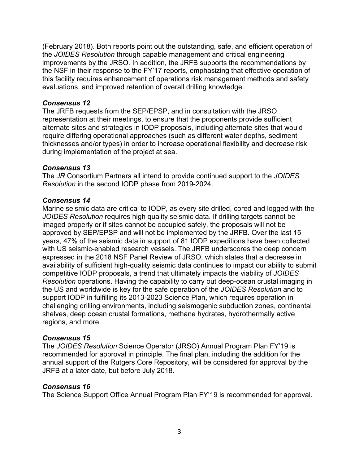(February 2018). Both reports point out the outstanding, safe, and efficient operation of the *JOIDES Resolution* through capable management and critical engineering improvements by the JRSO. In addition, the JRFB supports the recommendations by the NSF in their response to the FY'17 reports, emphasizing that effective operation of this facility requires enhancement of operations risk management methods and safety evaluations, and improved retention of overall drilling knowledge.

#### *Consensus 12*

The JRFB requests from the SEP/EPSP, and in consultation with the JRSO representation at their meetings, to ensure that the proponents provide sufficient alternate sites and strategies in IODP proposals, including alternate sites that would require differing operational approaches (such as different water depths, sediment thicknesses and/or types) in order to increase operational flexibility and decrease risk during implementation of the project at sea.

#### *Consensus 13*

The *JR* Consortium Partners all intend to provide continued support to the *JOIDES Resolution* in the second IODP phase from 2019-2024.

#### *Consensus 14*

Marine seismic data are critical to IODP, as every site drilled, cored and logged with the *JOIDES Resolution* requires high quality seismic data. If drilling targets cannot be imaged properly or if sites cannot be occupied safely, the proposals will not be approved by SEP/EPSP and will not be implemented by the JRFB. Over the last 15 years, 47% of the seismic data in support of 81 IODP expeditions have been collected with US seismic-enabled research vessels. The JRFB underscores the deep concern expressed in the 2018 NSF Panel Review of JRSO, which states that a decrease in availability of sufficient high-quality seismic data continues to impact our ability to submit competitive IODP proposals, a trend that ultimately impacts the viability of *JOIDES Resolution* operations. Having the capability to carry out deep-ocean crustal imaging in the US and worldwide is key for the safe operation of the *JOIDES Resolution* and to support IODP in fulfilling its 2013-2023 Science Plan, which requires operation in challenging drilling environments, including seismogenic subduction zones, continental shelves, deep ocean crustal formations, methane hydrates, hydrothermally active regions, and more.

#### *Consensus 15*

The *JOIDES Resolution* Science Operator (JRSO) Annual Program Plan FY'19 is recommended for approval in principle. The final plan, including the addition for the annual support of the Rutgers Core Repository, will be considered for approval by the JRFB at a later date, but before July 2018.

#### *Consensus 16*

The Science Support Office Annual Program Plan FY'19 is recommended for approval.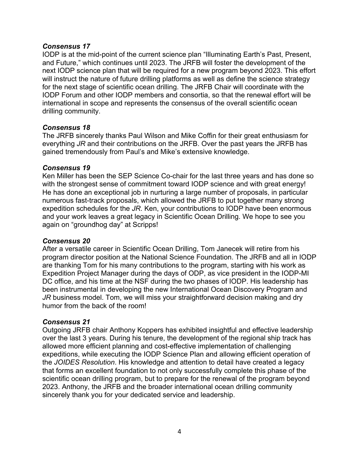#### *Consensus 17*

IODP is at the mid-point of the current science plan "Illuminating Earth's Past, Present, and Future," which continues until 2023. The JRFB will foster the development of the next IODP science plan that will be required for a new program beyond 2023. This effort will instruct the nature of future drilling platforms as well as define the science strategy for the next stage of scientific ocean drilling. The JRFB Chair will coordinate with the IODP Forum and other IODP members and consortia, so that the renewal effort will be international in scope and represents the consensus of the overall scientific ocean drilling community.

#### *Consensus 18*

The JRFB sincerely thanks Paul Wilson and Mike Coffin for their great enthusiasm for everything *JR* and their contributions on the JRFB. Over the past years the JRFB has gained tremendously from Paul's and Mike's extensive knowledge.

#### *Consensus 19*

Ken Miller has been the SEP Science Co-chair for the last three years and has done so with the strongest sense of commitment toward IODP science and with great energy! He has done an exceptional job in nurturing a large number of proposals, in particular numerous fast-track proposals, which allowed the JRFB to put together many strong expedition schedules for the *JR*. Ken, your contributions to IODP have been enormous and your work leaves a great legacy in Scientific Ocean Drilling. We hope to see you again on "groundhog day" at Scripps!

#### *Consensus 20*

After a versatile career in Scientific Ocean Drilling, Tom Janecek will retire from his program director position at the National Science Foundation. The JRFB and all in IODP are thanking Tom for his many contributions to the program, starting with his work as Expedition Project Manager during the days of ODP, as vice president in the IODP-MI DC office, and his time at the NSF during the two phases of IODP. His leadership has been instrumental in developing the new International Ocean Discovery Program and *JR* business model. Tom, we will miss your straightforward decision making and dry humor from the back of the room!

#### *Consensus 21*

Outgoing JRFB chair Anthony Koppers has exhibited insightful and effective leadership over the last 3 years. During his tenure, the development of the regional ship track has allowed more efficient planning and cost-effective implementation of challenging expeditions, while executing the IODP Science Plan and allowing efficient operation of the *JOIDES Resolution*. His knowledge and attention to detail have created a legacy that forms an excellent foundation to not only successfully complete this phase of the scientific ocean drilling program, but to prepare for the renewal of the program beyond 2023. Anthony, the JRFB and the broader international ocean drilling community sincerely thank you for your dedicated service and leadership.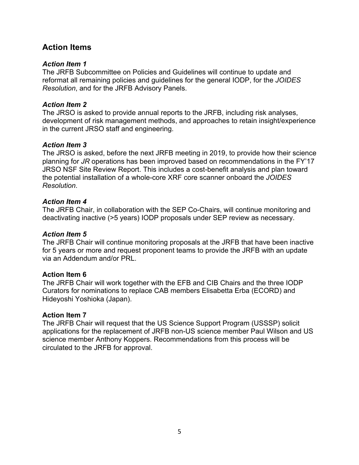## **Action Items**

#### *Action Item 1*

The JRFB Subcommittee on Policies and Guidelines will continue to update and reformat all remaining policies and guidelines for the general IODP, for the *JOIDES Resolution*, and for the JRFB Advisory Panels.

#### *Action Item 2*

The JRSO is asked to provide annual reports to the JRFB, including risk analyses, development of risk management methods, and approaches to retain insight/experience in the current JRSO staff and engineering.

#### *Action Item 3*

The JRSO is asked, before the next JRFB meeting in 2019, to provide how their science planning for *JR* operations has been improved based on recommendations in the FY'17 JRSO NSF Site Review Report. This includes a cost-benefit analysis and plan toward the potential installation of a whole-core XRF core scanner onboard the *JOIDES Resolution*.

#### *Action Item 4*

The JRFB Chair, in collaboration with the SEP Co-Chairs, will continue monitoring and deactivating inactive (>5 years) IODP proposals under SEP review as necessary.

#### *Action Item 5*

The JRFB Chair will continue monitoring proposals at the JRFB that have been inactive for 5 years or more and request proponent teams to provide the JRFB with an update via an Addendum and/or PRL.

#### **Action Item 6**

The JRFB Chair will work together with the EFB and CIB Chairs and the three IODP Curators for nominations to replace CAB members Elisabetta Erba (ECORD) and Hideyoshi Yoshioka (Japan).

#### **Action Item 7**

The JRFB Chair will request that the US Science Support Program (USSSP) solicit applications for the replacement of JRFB non-US science member Paul Wilson and US science member Anthony Koppers. Recommendations from this process will be circulated to the JRFB for approval.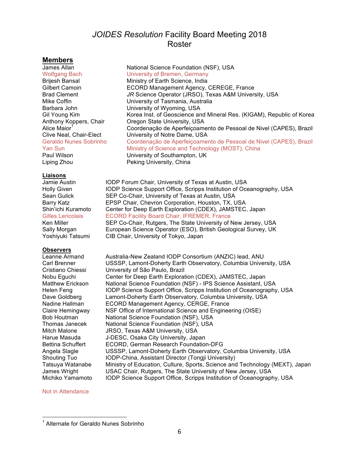## *JOIDES Resolution* Facility Board Meeting 2018 Roster

# **Members**

#### **Liaisons**

#### **Observers**

National Science Foundation (NSF), USA Wolfgang Bach University of Bremen, Germany Brijesh Bansal Ministry of Earth Science, India Gilbert Camoin ECORD Management Agency, CEREGE, France Brad Clement *JR* Science Operator (JRSO), Texas A&M University, USA Mike Coffin **Nightlands** University of Tasmania, Australia Barbara John University of Wyoming, USA Gil Young Kim **Korea Inst. of Geoscience and Mineral Res.** (KIGAM), Republic of Korea Anthony Koppers, Chair **Oregon State University, USA** Alice Maior<sup>1</sup> Coordenação de Aperfeiçoamento de Pessoal de Nivel (CAPES), Brazil Clive Neal, Chair-Elect University of Notre Dame, USA Geraldo Nunes Sobrinho Coordenação de Aperfeiçoamento de Pessoal de Nivel (CAPES), Brazil Yan Sun **Ministry of Science and Technology (MOST)**, China Paul Wilson **University of Southampton, UK** Liping Zhou Peking University, China

Jamie Austin IODP Forum Chair, University of Texas at Austin, USA Holly Given **IODP** Science Support Office, Scripps Institution of Oceanography, USA Sean Gulick SEP Co-Chair, University of Texas at Austin, USA Barry Katz **EPSP Chair, Chevron Corporation, Houston, TX, USA** Shin'ichi Kuramoto Center for Deep Earth Exploration (CDEX), JAMSTEC, Japan Gilles Lericolais ECORD Facility Board Chair, IFREMER, France Ken Miller SEP Co-Chair, Rutgers, The State University of New Jersey, USA Sally Morgan European Science Operator (ESO), British Geological Survey, UK Yoshiyuki Tatsumi CIB Chair, University of Tokyo, Japan

Leanne Armand Australia-New Zealand IODP Consortium (ANZIC) lead, ANU Carl Brenner USSSP, Lamont-Doherty Earth Observatory, Columbia University, USA Cristiano Chiessi University of São Paulo, Brazil Nobu Eguchi Center for Deep Earth Exploration (CDEX), JAMSTEC, Japan Matthew Erickson National Science Foundation (NSF) - IPS Science Assistant, USA Helen Feng IODP Science Support Office, Scripps Institution of Oceanography, USA Dave Goldberg Lamont-Doherty Earth Observatory, Columbia University, USA Nadine Hallman ECORD Management Agency, CERGE, France Claire Hemingway NSF Office of International Science and Engineering (OISE) Bob Houtman National Science Foundation (NSF), USA Thomas Janecek National Science Foundation (NSF), USA Mitch Malone JRSO, Texas A&M University, USA Harue Masuda J-DESC, Osaka City University, Japan Bettina Schuffert ECORD, German Research Foundation-DFG Angela Slagle USSSP, Lamont-Doherty Earth Observatory, Columbia University, USA Shouting Tuo IODP-China, Assistant Director (Tongji University) Tatsuya Watanabe Ministry of Education, Culture, Sports, Science and Technology (MEXT), Japan James Wright USAC Chair, Rutgers, The State University of New Jersey, USA Michiko Yamamoto IODP Science Support Office, Scripps Institution of Oceanography, USA

#### Not in Attendance

 <sup>1</sup> Alternate for Geraldo Nunes Sobrinho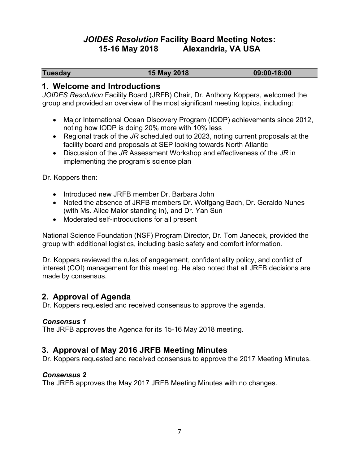## *JOIDES Resolution* **Facility Board Meeting Notes: 15-16 May 2018 Alexandria, VA USA**

**Tuesday 15 May 2018 09:00-18:00**

#### **1. Welcome and Introductions**

*JOIDES Resolution* Facility Board (JRFB) Chair, Dr. Anthony Koppers, welcomed the group and provided an overview of the most significant meeting topics, including:

- Major International Ocean Discovery Program (IODP) achievements since 2012, noting how IODP is doing 20% more with 10% less
- Regional track of the *JR* scheduled out to 2023, noting current proposals at the facility board and proposals at SEP looking towards North Atlantic
- Discussion of the *JR* Assessment Workshop and effectiveness of the *JR* in implementing the program's science plan

Dr. Koppers then:

- Introduced new JRFB member Dr. Barbara John
- Noted the absence of JRFB members Dr. Wolfgang Bach, Dr. Geraldo Nunes (with Ms. Alice Maior standing in), and Dr. Yan Sun
- Moderated self-introductions for all present

National Science Foundation (NSF) Program Director, Dr. Tom Janecek, provided the group with additional logistics, including basic safety and comfort information.

Dr. Koppers reviewed the rules of engagement, confidentiality policy, and conflict of interest (COI) management for this meeting. He also noted that all JRFB decisions are made by consensus.

## **2. Approval of Agenda**

Dr. Koppers requested and received consensus to approve the agenda.

#### *Consensus 1*

The JRFB approves the Agenda for its 15-16 May 2018 meeting.

## **3. Approval of May 2016 JRFB Meeting Minutes**

Dr. Koppers requested and received consensus to approve the 2017 Meeting Minutes.

#### *Consensus 2*

The JRFB approves the May 2017 JRFB Meeting Minutes with no changes.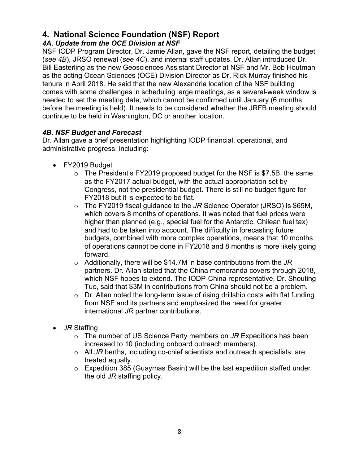## **4. National Science Foundation (NSF) Report**

### *4A. Update from the OCE Division at NSF*

NSF IODP Program Director, Dr. Jamie Allan, gave the NSF report, detailing the budget (*see 4B*), JRSO renewal (*see 4C*), and internal staff updates. Dr. Allan introduced Dr. Bill Easterling as the new Geosciences Assistant Director at NSF and Mr. Bob Houtman as the acting Ocean Sciences (OCE) Division Director as Dr. Rick Murray finished his tenure in April 2018. He said that the new Alexandria location of the NSF building comes with some challenges in scheduling large meetings, as a several-week window is needed to set the meeting date, which cannot be confirmed until January (6 months before the meeting is held). It needs to be considered whether the JRFB meeting should continue to be held in Washington, DC or another location.

## *4B. NSF Budget and Forecast*

Dr. Allan gave a brief presentation highlighting IODP financial, operational, and administrative progress, including:

- FY2019 Budget
	- o The President's FY2019 proposed budget for the NSF is \$7.5B, the same as the FY2017 actual budget, with the actual appropriation set by Congress, not the presidential budget. There is still no budget figure for FY2018 but it is expected to be flat.
	- o The FY2019 fiscal guidance to the *JR* Science Operator (JRSO) is \$65M, which covers 8 months of operations. It was noted that fuel prices were higher than planned (e.g., special fuel for the Antarctic, Chilean fuel tax) and had to be taken into account. The difficulty in forecasting future budgets, combined with more complex operations, means that 10 months of operations cannot be done in FY2018 and 8 months is more likely going forward.
	- o Additionally, there will be \$14.7M in base contributions from the *JR* partners. Dr. Allan stated that the China memoranda covers through 2018, which NSF hopes to extend. The IODP-China representative, Dr. Shouting Tuo, said that \$3M in contributions from China should not be a problem.
	- $\circ$  Dr. Allan noted the long-term issue of rising drillship costs with flat funding from NSF and its partners and emphasized the need for greater international *JR* partner contributions.
- *JR* Staffing
	- o The number of US Science Party members on *JR* Expeditions has been increased to 10 (including onboard outreach members).
	- o All *JR* berths, including co-chief scientists and outreach specialists, are treated equally.
	- o Expedition 385 (Guaymas Basin) will be the last expedition staffed under the old *JR* staffing policy.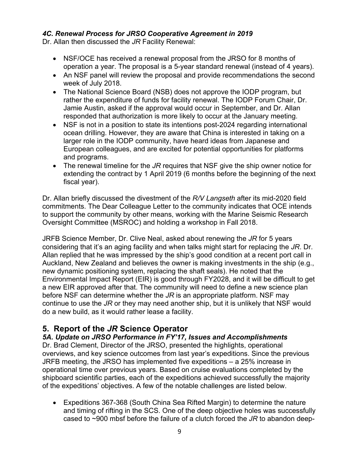#### *4C. Renewal Process for JRSO Cooperative Agreement in 2019*

Dr. Allan then discussed the *JR* Facility Renewal:

- NSF/OCE has received a renewal proposal from the JRSO for 8 months of operation a year. The proposal is a 5-year standard renewal (instead of 4 years).
- An NSF panel will review the proposal and provide recommendations the second week of July 2018.
- The National Science Board (NSB) does not approve the IODP program, but rather the expenditure of funds for facility renewal. The IODP Forum Chair, Dr. Jamie Austin, asked if the approval would occur in September, and Dr. Allan responded that authorization is more likely to occur at the January meeting.
- NSF is not in a position to state its intentions post-2024 regarding international ocean drilling. However, they are aware that China is interested in taking on a larger role in the IODP community, have heard ideas from Japanese and European colleagues, and are excited for potential opportunities for platforms and programs.
- The renewal timeline for the *JR* requires that NSF give the ship owner notice for extending the contract by 1 April 2019 (6 months before the beginning of the next fiscal year).

Dr. Allan briefly discussed the divestment of the *R/V Langseth* after its mid-2020 field commitments. The Dear Colleague Letter to the community indicates that OCE intends to support the community by other means, working with the Marine Seismic Research Oversight Committee (MSROC) and holding a workshop in Fall 2018.

JRFB Science Member, Dr. Clive Neal, asked about renewing the *JR* for 5 years considering that it's an aging facility and when talks might start for replacing the *JR*. Dr. Allan replied that he was impressed by the ship's good condition at a recent port call in Auckland, New Zealand and believes the owner is making investments in the ship (e.g., new dynamic positioning system, replacing the shaft seals). He noted that the Environmental Impact Report (EIR) is good through FY2028, and it will be difficult to get a new EIR approved after that. The community will need to define a new science plan before NSF can determine whether the *JR* is an appropriate platform. NSF may continue to use the *JR* or they may need another ship, but it is unlikely that NSF would do a new build, as it would rather lease a facility.

## **5. Report of the** *JR* **Science Operator**

*5A. Update on JRSO Performance in FY'17, Issues and Accomplishments* Dr. Brad Clement, Director of the JRSO, presented the highlights, operational overviews, and key science outcomes from last year's expeditions. Since the previous JRFB meeting, the JRSO has implemented five expeditions – a 25% increase in operational time over previous years. Based on cruise evaluations completed by the shipboard scientific parties, each of the expeditions achieved successfully the majority of the expeditions' objectives. A few of the notable challenges are listed below.

• Expeditions 367-368 (South China Sea Rifted Margin) to determine the nature and timing of rifting in the SCS. One of the deep objective holes was successfully cased to ~900 mbsf before the failure of a clutch forced the *JR* to abandon deep-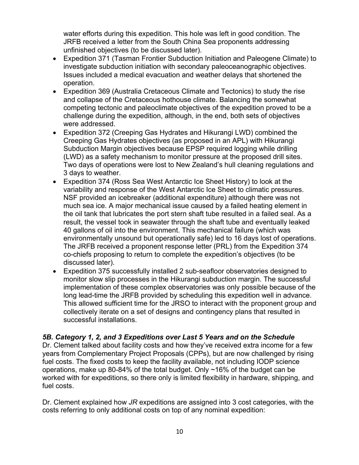water efforts during this expedition. This hole was left in good condition. The JRFB received a letter from the South China Sea proponents addressing unfinished objectives (to be discussed later).

- Expedition 371 (Tasman Frontier Subduction Initiation and Paleogene Climate) to investigate subduction initiation with secondary paleoceanographic objectives. Issues included a medical evacuation and weather delays that shortened the operation.
- Expedition 369 (Australia Cretaceous Climate and Tectonics) to study the rise and collapse of the Cretaceous hothouse climate. Balancing the somewhat competing tectonic and paleoclimate objectives of the expedition proved to be a challenge during the expedition, although, in the end, both sets of objectives were addressed.
- Expedition 372 (Creeping Gas Hydrates and Hikurangi LWD) combined the Creeping Gas Hydrates objectives (as proposed in an APL) with Hikurangi Subduction Margin objectives because EPSP required logging while drilling (LWD) as a safety mechanism to monitor pressure at the proposed drill sites. Two days of operations were lost to New Zealand's hull cleaning regulations and 3 days to weather.
- Expedition 374 (Ross Sea West Antarctic Ice Sheet History) to look at the variability and response of the West Antarctic Ice Sheet to climatic pressures. NSF provided an icebreaker (additional expenditure) although there was not much sea ice. A major mechanical issue caused by a failed heating element in the oil tank that lubricates the port stern shaft tube resulted in a failed seal. As a result, the vessel took in seawater through the shaft tube and eventually leaked 40 gallons of oil into the environment. This mechanical failure (which was environmentally unsound but operationally safe) led to 16 days lost of operations. The JRFB received a proponent response letter (PRL) from the Expedition 374 co-chiefs proposing to return to complete the expedition's objectives (to be discussed later).
- Expedition 375 successfully installed 2 sub-seafloor observatories designed to monitor slow slip processes in the Hikurangi subduction margin. The successful implementation of these complex observatories was only possible because of the long lead-time the JRFB provided by scheduling this expedition well in advance. This allowed sufficient time for the JRSO to interact with the proponent group and collectively iterate on a set of designs and contingency plans that resulted in successful installations.

#### *5B. Category 1, 2, and 3 Expeditions over Last 5 Years and on the Schedule*

Dr. Clement talked about facility costs and how they've received extra income for a few years from Complementary Project Proposals (CPPs), but are now challenged by rising fuel costs. The fixed costs to keep the facility available, not including IODP science operations, make up 80-84% of the total budget. Only ~16% of the budget can be worked with for expeditions, so there only is limited flexibility in hardware, shipping, and fuel costs.

Dr. Clement explained how *JR* expeditions are assigned into 3 cost categories, with the costs referring to only additional costs on top of any nominal expedition: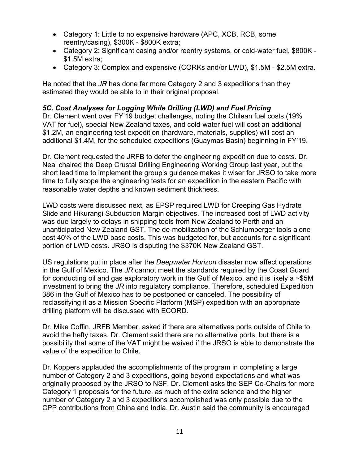- Category 1: Little to no expensive hardware (APC, XCB, RCB, some reentry/casing), \$300K - \$800K extra;
- Category 2: Significant casing and/or reentry systems, or cold-water fuel, \$800K \$1.5M extra;
- Category 3: Complex and expensive (CORKs and/or LWD), \$1.5M \$2.5M extra.

He noted that the *JR* has done far more Category 2 and 3 expeditions than they estimated they would be able to in their original proposal.

#### *5C. Cost Analyses for Logging While Drilling (LWD) and Fuel Pricing*

Dr. Clement went over FY'19 budget challenges, noting the Chilean fuel costs (19% VAT for fuel), special New Zealand taxes, and cold-water fuel will cost an additional \$1.2M, an engineering test expedition (hardware, materials, supplies) will cost an additional \$1.4M, for the scheduled expeditions (Guaymas Basin) beginning in FY'19.

Dr. Clement requested the JRFB to defer the engineering expedition due to costs. Dr. Neal chaired the Deep Crustal Drilling Engineering Working Group last year, but the short lead time to implement the group's guidance makes it wiser for JRSO to take more time to fully scope the engineering tests for an expedition in the eastern Pacific with reasonable water depths and known sediment thickness.

LWD costs were discussed next, as EPSP required LWD for Creeping Gas Hydrate Slide and Hikurangi Subduction Margin objectives. The increased cost of LWD activity was due largely to delays in shipping tools from New Zealand to Perth and an unanticipated New Zealand GST. The de-mobilization of the Schlumberger tools alone cost 40% of the LWD base costs. This was budgeted for, but accounts for a significant portion of LWD costs. JRSO is disputing the \$370K New Zealand GST.

US regulations put in place after the *Deepwater Horizon* disaster now affect operations in the Gulf of Mexico. The *JR* cannot meet the standards required by the Coast Guard for conducting oil and gas exploratory work in the Gulf of Mexico, and it is likely a ~\$5M investment to bring the *JR* into regulatory compliance. Therefore, scheduled Expedition 386 in the Gulf of Mexico has to be postponed or canceled. The possibility of reclassifying it as a Mission Specific Platform (MSP) expedition with an appropriate drilling platform will be discussed with ECORD.

Dr. Mike Coffin, JRFB Member, asked if there are alternatives ports outside of Chile to avoid the hefty taxes. Dr. Clement said there are no alternative ports, but there is a possibility that some of the VAT might be waived if the JRSO is able to demonstrate the value of the expedition to Chile.

Dr. Koppers applauded the accomplishments of the program in completing a large number of Category 2 and 3 expeditions, going beyond expectations and what was originally proposed by the JRSO to NSF. Dr. Clement asks the SEP Co-Chairs for more Category 1 proposals for the future, as much of the extra science and the higher number of Category 2 and 3 expeditions accomplished was only possible due to the CPP contributions from China and India. Dr. Austin said the community is encouraged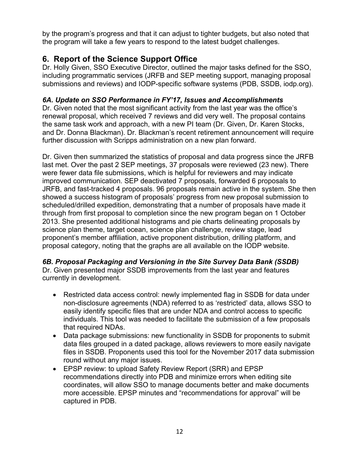by the program's progress and that it can adjust to tighter budgets, but also noted that the program will take a few years to respond to the latest budget challenges.

## **6. Report of the Science Support Office**

Dr. Holly Given, SSO Executive Director, outlined the major tasks defined for the SSO, including programmatic services (JRFB and SEP meeting support, managing proposal submissions and reviews) and IODP-specific software systems (PDB, SSDB, iodp.org).

## *6A. Update on SSO Performance in FY'17, Issues and Accomplishments*

Dr. Given noted that the most significant activity from the last year was the office's renewal proposal, which received 7 reviews and did very well. The proposal contains the same task work and approach, with a new PI team (Dr. Given, Dr. Karen Stocks, and Dr. Donna Blackman). Dr. Blackman's recent retirement announcement will require further discussion with Scripps administration on a new plan forward.

Dr. Given then summarized the statistics of proposal and data progress since the JRFB last met. Over the past 2 SEP meetings, 37 proposals were reviewed (23 new). There were fewer data file submissions, which is helpful for reviewers and may indicate improved communication. SEP deactivated 7 proposals, forwarded 6 proposals to JRFB, and fast-tracked 4 proposals. 96 proposals remain active in the system. She then showed a success histogram of proposals' progress from new proposal submission to scheduled/drilled expedition, demonstrating that a number of proposals have made it through from first proposal to completion since the new program began on 1 October 2013. She presented additional histograms and pie charts delineating proposals by science plan theme, target ocean, science plan challenge, review stage, lead proponent's member affiliation, active proponent distribution, drilling platform, and proposal category, noting that the graphs are all available on the IODP website.

#### *6B. Proposal Packaging and Versioning in the Site Survey Data Bank (SSDB)* Dr. Given presented major SSDB improvements from the last year and features currently in development.

- Restricted data access control: newly implemented flag in SSDB for data under non-disclosure agreements (NDA) referred to as 'restricted' data, allows SSO to easily identify specific files that are under NDA and control access to specific individuals. This tool was needed to facilitate the submission of a few proposals that required NDAs.
- Data package submissions: new functionality in SSDB for proponents to submit data files grouped in a dated package, allows reviewers to more easily navigate files in SSDB. Proponents used this tool for the November 2017 data submission round without any major issues.
- EPSP review: to upload Safety Review Report (SRR) and EPSP recommendations directly into PDB and minimize errors when editing site coordinates, will allow SSO to manage documents better and make documents more accessible. EPSP minutes and "recommendations for approval" will be captured in PDB.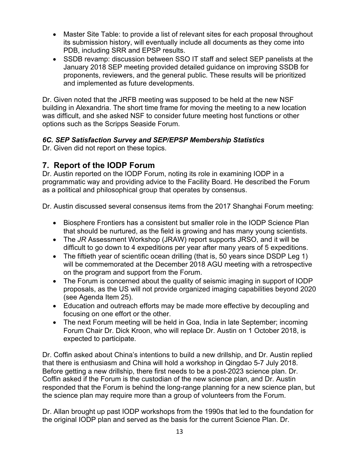- Master Site Table: to provide a list of relevant sites for each proposal throughout its submission history, will eventually include all documents as they come into PDB, including SRR and EPSP results.
- SSDB revamp: discussion between SSO IT staff and select SEP panelists at the January 2018 SEP meeting provided detailed guidance on improving SSDB for proponents, reviewers, and the general public. These results will be prioritized and implemented as future developments.

Dr. Given noted that the JRFB meeting was supposed to be held at the new NSF building in Alexandria. The short time frame for moving the meeting to a new location was difficult, and she asked NSF to consider future meeting host functions or other options such as the Scripps Seaside Forum.

## *6C. SEP Satisfaction Survey and SEP/EPSP Membership Statistics*

Dr. Given did not report on these topics.

## **7. Report of the IODP Forum**

Dr. Austin reported on the IODP Forum, noting its role in examining IODP in a programmatic way and providing advice to the Facility Board. He described the Forum as a political and philosophical group that operates by consensus.

Dr. Austin discussed several consensus items from the 2017 Shanghai Forum meeting:

- Biosphere Frontiers has a consistent but smaller role in the IODP Science Plan that should be nurtured, as the field is growing and has many young scientists.
- The *JR* Assessment Workshop (JRAW) report supports JRSO, and it will be difficult to go down to 4 expeditions per year after many years of 5 expeditions.
- The fiftieth year of scientific ocean drilling (that is, 50 years since DSDP Leg 1) will be commemorated at the December 2018 AGU meeting with a retrospective on the program and support from the Forum.
- The Forum is concerned about the quality of seismic imaging in support of IODP proposals, as the US will not provide organized imaging capabilities beyond 2020 (see Agenda Item 25).
- Education and outreach efforts may be made more effective by decoupling and focusing on one effort or the other.
- The next Forum meeting will be held in Goa, India in late September; incoming Forum Chair Dr. Dick Kroon, who will replace Dr. Austin on 1 October 2018, is expected to participate.

Dr. Coffin asked about China's intentions to build a new drillship, and Dr. Austin replied that there is enthusiasm and China will hold a workshop in Qingdao 5-7 July 2018. Before getting a new drillship, there first needs to be a post-2023 science plan. Dr. Coffin asked if the Forum is the custodian of the new science plan, and Dr. Austin responded that the Forum is behind the long-range planning for a new science plan, but the science plan may require more than a group of volunteers from the Forum.

Dr. Allan brought up past IODP workshops from the 1990s that led to the foundation for the original IODP plan and served as the basis for the current Science Plan. Dr.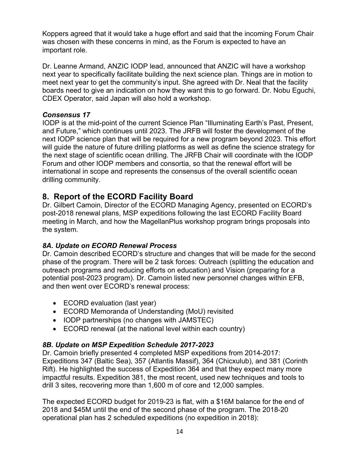Koppers agreed that it would take a huge effort and said that the incoming Forum Chair was chosen with these concerns in mind, as the Forum is expected to have an important role.

Dr. Leanne Armand, ANZIC IODP lead, announced that ANZIC will have a workshop next year to specifically facilitate building the next science plan. Things are in motion to meet next year to get the community's input. She agreed with Dr. Neal that the facility boards need to give an indication on how they want this to go forward. Dr. Nobu Eguchi, CDEX Operator, said Japan will also hold a workshop.

#### *Consensus 17*

IODP is at the mid-point of the current Science Plan "Illuminating Earth's Past, Present, and Future," which continues until 2023. The JRFB will foster the development of the next IODP science plan that will be required for a new program beyond 2023. This effort will guide the nature of future drilling platforms as well as define the science strategy for the next stage of scientific ocean drilling. The JRFB Chair will coordinate with the IODP Forum and other IODP members and consortia, so that the renewal effort will be international in scope and represents the consensus of the overall scientific ocean drilling community.

## **8. Report of the ECORD Facility Board**

Dr. Gilbert Camoin, Director of the ECORD Managing Agency, presented on ECORD's post-2018 renewal plans, MSP expeditions following the last ECORD Facility Board meeting in March, and how the MagellanPlus workshop program brings proposals into the system.

#### *8A. Update on ECORD Renewal Process*

Dr. Camoin described ECORD's structure and changes that will be made for the second phase of the program. There will be 2 task forces: Outreach (splitting the education and outreach programs and reducing efforts on education) and Vision (preparing for a potential post-2023 program). Dr. Camoin listed new personnel changes within EFB, and then went over ECORD's renewal process:

- ECORD evaluation (last year)
- ECORD Memoranda of Understanding (MoU) revisited
- IODP partnerships (no changes with JAMSTEC)
- ECORD renewal (at the national level within each country)

## *8B. Update on MSP Expedition Schedule 2017-2023*

Dr. Camoin briefly presented 4 completed MSP expeditions from 2014-2017: Expeditions 347 (Baltic Sea), 357 (Atlantis Massif), 364 (Chicxulub), and 381 (Corinth Rift). He highlighted the success of Expedition 364 and that they expect many more impactful results. Expedition 381, the most recent, used new techniques and tools to drill 3 sites, recovering more than 1,600 m of core and 12,000 samples.

The expected ECORD budget for 2019-23 is flat, with a \$16M balance for the end of 2018 and \$45M until the end of the second phase of the program. The 2018-20 operational plan has 2 scheduled expeditions (no expedition in 2018):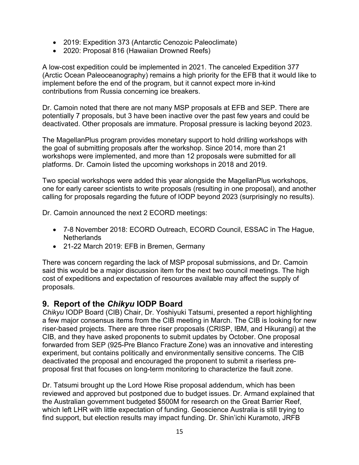- 2019: Expedition 373 (Antarctic Cenozoic Paleoclimate)
- 2020: Proposal 816 (Hawaiian Drowned Reefs)

A low-cost expedition could be implemented in 2021. The canceled Expedition 377 (Arctic Ocean Paleoceanography) remains a high priority for the EFB that it would like to implement before the end of the program, but it cannot expect more in-kind contributions from Russia concerning ice breakers.

Dr. Camoin noted that there are not many MSP proposals at EFB and SEP. There are potentially 7 proposals, but 3 have been inactive over the past few years and could be deactivated. Other proposals are immature. Proposal pressure is lacking beyond 2023.

The MagellanPlus program provides monetary support to hold drilling workshops with the goal of submitting proposals after the workshop. Since 2014, more than 21 workshops were implemented, and more than 12 proposals were submitted for all platforms. Dr. Camoin listed the upcoming workshops in 2018 and 2019.

Two special workshops were added this year alongside the MagellanPlus workshops, one for early career scientists to write proposals (resulting in one proposal), and another calling for proposals regarding the future of IODP beyond 2023 (surprisingly no results).

Dr. Camoin announced the next 2 ECORD meetings:

- 7-8 November 2018: ECORD Outreach, ECORD Council, ESSAC in The Hague, Netherlands
- 21-22 March 2019: EFB in Bremen, Germany

There was concern regarding the lack of MSP proposal submissions, and Dr. Camoin said this would be a major discussion item for the next two council meetings. The high cost of expeditions and expectation of resources available may affect the supply of proposals.

## **9. Report of the** *Chikyu* **IODP Board**

*Chikyu* IODP Board (CIB) Chair, Dr. Yoshiyuki Tatsumi, presented a report highlighting a few major consensus items from the CIB meeting in March. The CIB is looking for new riser-based projects. There are three riser proposals (CRISP, IBM, and Hikurangi) at the CIB, and they have asked proponents to submit updates by October. One proposal forwarded from SEP (925-Pre Blanco Fracture Zone) was an innovative and interesting experiment, but contains politically and environmentally sensitive concerns. The CIB deactivated the proposal and encouraged the proponent to submit a riserless preproposal first that focuses on long-term monitoring to characterize the fault zone.

Dr. Tatsumi brought up the Lord Howe Rise proposal addendum, which has been reviewed and approved but postponed due to budget issues. Dr. Armand explained that the Australian government budgeted \$500M for research on the Great Barrier Reef, which left LHR with little expectation of funding. Geoscience Australia is still trying to find support, but election results may impact funding. Dr. Shin'ichi Kuramoto, JRFB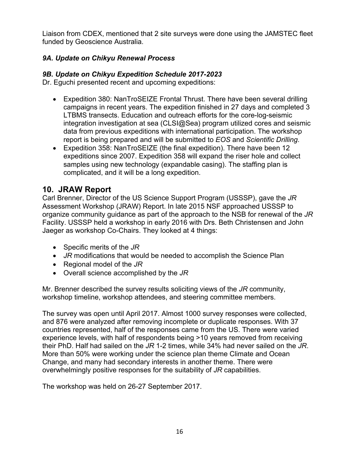Liaison from CDEX, mentioned that 2 site surveys were done using the JAMSTEC fleet funded by Geoscience Australia.

## *9A. Update on Chikyu Renewal Process*

#### *9B. Update on Chikyu Expedition Schedule 2017-2023*

Dr. Eguchi presented recent and upcoming expeditions:

- Expedition 380: NanTroSEIZE Frontal Thrust. There have been several drilling campaigns in recent years. The expedition finished in 27 days and completed 3 LTBMS transects. Education and outreach efforts for the core-log-seismic integration investigation at sea (CLSI@Sea) program utilized cores and seismic data from previous expeditions with international participation. The workshop report is being prepared and will be submitted to *EOS* and *Scientific Drilling*.
- Expedition 358: NanTroSEIZE (the final expedition). There have been 12 expeditions since 2007. Expedition 358 will expand the riser hole and collect samples using new technology (expandable casing). The staffing plan is complicated, and it will be a long expedition.

## **10. JRAW Report**

Carl Brenner, Director of the US Science Support Program (USSSP), gave the *JR* Assessment Workshop (JRAW) Report. In late 2015 NSF approached USSSP to organize community guidance as part of the approach to the NSB for renewal of the *JR* Facility. USSSP held a workshop in early 2016 with Drs. Beth Christensen and John Jaeger as workshop Co-Chairs. They looked at 4 things:

- Specific merits of the *JR*
- *JR* modifications that would be needed to accomplish the Science Plan
- Regional model of the *JR*
- Overall science accomplished by the *JR*

Mr. Brenner described the survey results soliciting views of the *JR* community, workshop timeline, workshop attendees, and steering committee members.

The survey was open until April 2017. Almost 1000 survey responses were collected, and 876 were analyzed after removing incomplete or duplicate responses. With 37 countries represented, half of the responses came from the US. There were varied experience levels, with half of respondents being >10 years removed from receiving their PhD. Half had sailed on the *JR* 1-2 times, while 34% had never sailed on the *JR*. More than 50% were working under the science plan theme Climate and Ocean Change, and many had secondary interests in another theme. There were overwhelmingly positive responses for the suitability of *JR* capabilities.

The workshop was held on 26-27 September 2017.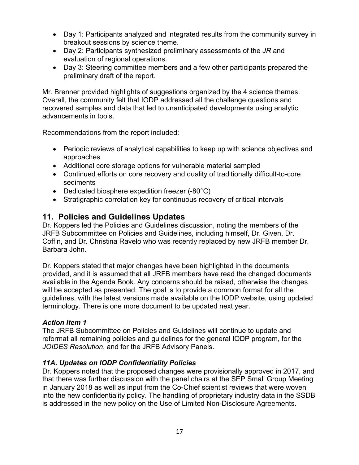- Day 1: Participants analyzed and integrated results from the community survey in breakout sessions by science theme.
- Day 2: Participants synthesized preliminary assessments of the *JR* and evaluation of regional operations.
- Day 3: Steering committee members and a few other participants prepared the preliminary draft of the report.

Mr. Brenner provided highlights of suggestions organized by the 4 science themes. Overall, the community felt that IODP addressed all the challenge questions and recovered samples and data that led to unanticipated developments using analytic advancements in tools.

Recommendations from the report included:

- Periodic reviews of analytical capabilities to keep up with science objectives and approaches
- Additional core storage options for vulnerable material sampled
- Continued efforts on core recovery and quality of traditionally difficult-to-core sediments
- Dedicated biosphere expedition freezer (-80°C)
- Stratigraphic correlation key for continuous recovery of critical intervals

## **11. Policies and Guidelines Updates**

Dr. Koppers led the Policies and Guidelines discussion, noting the members of the JRFB Subcommittee on Policies and Guidelines, including himself, Dr. Given, Dr. Coffin, and Dr. Christina Ravelo who was recently replaced by new JRFB member Dr. Barbara John.

Dr. Koppers stated that major changes have been highlighted in the documents provided, and it is assumed that all JRFB members have read the changed documents available in the Agenda Book. Any concerns should be raised, otherwise the changes will be accepted as presented. The goal is to provide a common format for all the guidelines, with the latest versions made available on the IODP website, using updated terminology. There is one more document to be updated next year.

#### *Action Item 1*

The JRFB Subcommittee on Policies and Guidelines will continue to update and reformat all remaining policies and guidelines for the general IODP program, for the *JOIDES Resolution*, and for the JRFB Advisory Panels.

## *11A. Updates on IODP Confidentiality Policies*

Dr. Koppers noted that the proposed changes were provisionally approved in 2017, and that there was further discussion with the panel chairs at the SEP Small Group Meeting in January 2018 as well as input from the Co-Chief scientist reviews that were woven into the new confidentiality policy. The handling of proprietary industry data in the SSDB is addressed in the new policy on the Use of Limited Non-Disclosure Agreements.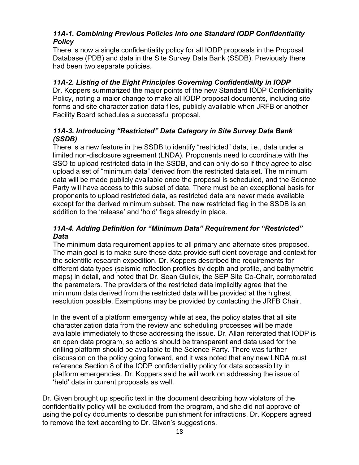## *11A-1. Combining Previous Policies into one Standard IODP Confidentiality Policy*

There is now a single confidentiality policy for all IODP proposals in the Proposal Database (PDB) and data in the Site Survey Data Bank (SSDB). Previously there had been two separate policies.

#### *11A-2. Listing of the Eight Principles Governing Confidentiality in IODP*

Dr. Koppers summarized the major points of the new Standard IODP Confidentiality Policy, noting a major change to make all IODP proposal documents, including site forms and site characterization data files, publicly available when JRFB or another Facility Board schedules a successful proposal.

#### *11A-3. Introducing "Restricted" Data Category in Site Survey Data Bank (SSDB)*

There is a new feature in the SSDB to identify "restricted" data, i.e., data under a limited non-disclosure agreement (LNDA). Proponents need to coordinate with the SSO to upload restricted data in the SSDB, and can only do so if they agree to also upload a set of "minimum data" derived from the restricted data set. The minimum data will be made publicly available once the proposal is scheduled, and the Science Party will have access to this subset of data. There must be an exceptional basis for proponents to upload restricted data, as restricted data are never made available except for the derived minimum subset. The new restricted flag in the SSDB is an addition to the 'release' and 'hold' flags already in place.

#### *11A-4. Adding Definition for "Minimum Data" Requirement for "Restricted" Data*

The minimum data requirement applies to all primary and alternate sites proposed. The main goal is to make sure these data provide sufficient coverage and context for the scientific research expedition. Dr. Koppers described the requirements for different data types (seismic reflection profiles by depth and profile, and bathymetric maps) in detail, and noted that Dr. Sean Gulick, the SEP Site Co-Chair, corroborated the parameters. The providers of the restricted data implicitly agree that the minimum data derived from the restricted data will be provided at the highest resolution possible. Exemptions may be provided by contacting the JRFB Chair.

In the event of a platform emergency while at sea, the policy states that all site characterization data from the review and scheduling processes will be made available immediately to those addressing the issue. Dr. Allan reiterated that IODP is an open data program, so actions should be transparent and data used for the drilling platform should be available to the Science Party. There was further discussion on the policy going forward, and it was noted that any new LNDA must reference Section 8 of the IODP confidentiality policy for data accessibility in platform emergencies. Dr. Koppers said he will work on addressing the issue of 'held' data in current proposals as well.

Dr. Given brought up specific text in the document describing how violators of the confidentiality policy will be excluded from the program, and she did not approve of using the policy documents to describe punishment for infractions. Dr. Koppers agreed to remove the text according to Dr. Given's suggestions.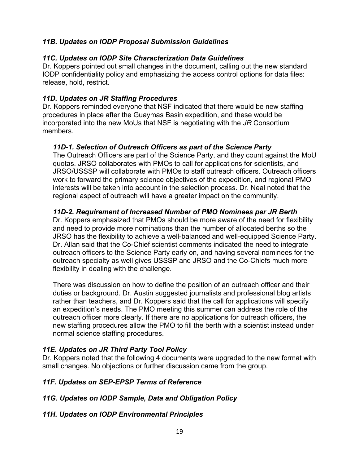### *11B. Updates on IODP Proposal Submission Guidelines*

#### *11C. Updates on IODP Site Characterization Data Guidelines*

Dr. Koppers pointed out small changes in the document, calling out the new standard IODP confidentiality policy and emphasizing the access control options for data files: release, hold, restrict.

#### *11D. Updates on JR Staffing Procedures*

Dr. Koppers reminded everyone that NSF indicated that there would be new staffing procedures in place after the Guaymas Basin expedition, and these would be incorporated into the new MoUs that NSF is negotiating with the *JR* Consortium members.

#### *11D-1. Selection of Outreach Officers as part of the Science Party*

The Outreach Officers are part of the Science Party, and they count against the MoU quotas. JRSO collaborates with PMOs to call for applications for scientists, and JRSO/USSSP will collaborate with PMOs to staff outreach officers. Outreach officers work to forward the primary science objectives of the expedition, and regional PMO interests will be taken into account in the selection process. Dr. Neal noted that the regional aspect of outreach will have a greater impact on the community.

#### *11D-2. Requirement of Increased Number of PMO Nominees per JR Berth*

Dr. Koppers emphasized that PMOs should be more aware of the need for flexibility and need to provide more nominations than the number of allocated berths so the JRSO has the flexibility to achieve a well-balanced and well-equipped Science Party. Dr. Allan said that the Co-Chief scientist comments indicated the need to integrate outreach officers to the Science Party early on, and having several nominees for the outreach specialty as well gives USSSP and JRSO and the Co-Chiefs much more flexibility in dealing with the challenge.

There was discussion on how to define the position of an outreach officer and their duties or background. Dr. Austin suggested journalists and professional blog artists rather than teachers, and Dr. Koppers said that the call for applications will specify an expedition's needs. The PMO meeting this summer can address the role of the outreach officer more clearly. If there are no applications for outreach officers, the new staffing procedures allow the PMO to fill the berth with a scientist instead under normal science staffing procedures.

#### *11E. Updates on JR Third Party Tool Policy*

Dr. Koppers noted that the following 4 documents were upgraded to the new format with small changes. No objections or further discussion came from the group.

#### *11F. Updates on SEP-EPSP Terms of Reference*

#### *11G. Updates on IODP Sample, Data and Obligation Policy*

#### *11H. Updates on IODP Environmental Principles*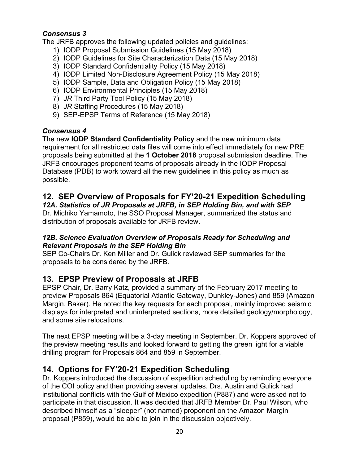#### *Consensus 3*

The JRFB approves the following updated policies and guidelines:

- 1) IODP Proposal Submission Guidelines (15 May 2018)
- 2) IODP Guidelines for Site Characterization Data (15 May 2018)
- 3) IODP Standard Confidentiality Policy (15 May 2018)
- 4) IODP Limited Non-Disclosure Agreement Policy (15 May 2018)
- 5) IODP Sample, Data and Obligation Policy (15 May 2018)
- 6) IODP Environmental Principles (15 May 2018)
- 7) *JR* Third Party Tool Policy (15 May 2018)
- 8) *JR* Staffing Procedures (15 May 2018)
- 9) SEP-EPSP Terms of Reference (15 May 2018)

## *Consensus 4*

The new **IODP Standard Confidentiality Policy** and the new minimum data requirement for all restricted data files will come into effect immediately for new PRE proposals being submitted at the **1 October 2018** proposal submission deadline. The JRFB encourages proponent teams of proposals already in the IODP Proposal Database (PDB) to work toward all the new guidelines in this policy as much as possible.

## **12. SEP Overview of Proposals for FY'20-21 Expedition Scheduling**

*12A. Statistics of JR Proposals at JRFB, in SEP Holding Bin, and with SEP*

Dr. Michiko Yamamoto, the SSO Proposal Manager, summarized the status and distribution of proposals available for JRFB review.

#### *12B. Science Evaluation Overview of Proposals Ready for Scheduling and Relevant Proposals in the SEP Holding Bin*

SEP Co-Chairs Dr. Ken Miller and Dr. Gulick reviewed SEP summaries for the proposals to be considered by the JRFB.

## **13. EPSP Preview of Proposals at JRFB**

EPSP Chair, Dr. Barry Katz, provided a summary of the February 2017 meeting to preview Proposals 864 (Equatorial Atlantic Gateway, Dunkley-Jones) and 859 (Amazon Margin, Baker). He noted the key requests for each proposal, mainly improved seismic displays for interpreted and uninterpreted sections, more detailed geology/morphology, and some site relocations.

The next EPSP meeting will be a 3-day meeting in September. Dr. Koppers approved of the preview meeting results and looked forward to getting the green light for a viable drilling program for Proposals 864 and 859 in September.

## **14. Options for FY'20-21 Expedition Scheduling**

Dr. Koppers introduced the discussion of expedition scheduling by reminding everyone of the COI policy and then providing several updates. Drs. Austin and Gulick had institutional conflicts with the Gulf of Mexico expedition (P887) and were asked not to participate in that discussion. It was decided that JRFB Member Dr. Paul Wilson, who described himself as a "sleeper" (not named) proponent on the Amazon Margin proposal (P859), would be able to join in the discussion objectively.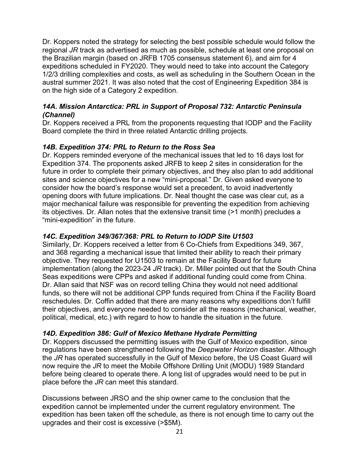Dr. Koppers noted the strategy for selecting the best possible schedule would follow the regional *JR* track as advertised as much as possible, schedule at least one proposal on the Brazilian margin (based on JRFB 1705 consensus statement 6), and aim for 4 expeditions scheduled in FY2020. They would need to take into account the Category 1/2/3 drilling complexities and costs, as well as scheduling in the Southern Ocean in the austral summer 2021. It was also noted that the cost of Engineering Expedition 384 is on the high side of a Category 2 expedition.

#### *14A. Mission Antarctica: PRL in Support of Proposal 732: Antarctic Peninsula (Channel)*

Dr. Koppers received a PRL from the proponents requesting that IODP and the Facility Board complete the third in three related Antarctic drilling projects.

#### *14B. Expedition 374: PRL to Return to the Ross Sea*

Dr. Koppers reminded everyone of the mechanical issues that led to 16 days lost for Expedition 374. The proponents asked JRFB to keep 2 sites in consideration for the future in order to complete their primary objectives, and they also plan to add additional sites and science objectives for a new "mini-proposal." Dr. Given asked everyone to consider how the board's response would set a precedent, to avoid inadvertently opening doors with future implications. Dr. Neal thought the case was clear cut, as a major mechanical failure was responsible for preventing the expedition from achieving its objectives. Dr. Allan notes that the extensive transit time (>1 month) precludes a "mini-expedition" in the future.

#### *14C. Expedition 349/367/368: PRL to Return to IODP Site U1503*

Similarly, Dr. Koppers received a letter from 6 Co-Chiefs from Expeditions 349, 367, and 368 regarding a mechanical issue that limited their ability to reach their primary objective. They requested for U1503 to remain at the Facility Board for future implementation (along the 2023-24 *JR* track). Dr. Miller pointed out that the South China Seas expeditions were CPPs and asked if additional funding could come from China. Dr. Allan said that NSF was on record telling China they would not need additional funds, so there will not be additional CPP funds required from China if the Facility Board reschedules. Dr. Coffin added that there are many reasons why expeditions don't fulfill their objectives, and everyone needed to consider all the reasons (mechanical, weather, political, medical, etc.) with regard to how to handle the situation in the future.

#### *14D. Expedition 386: Gulf of Mexico Methane Hydrate Permitting*

Dr. Koppers discussed the permitting issues with the Gulf of Mexico expedition, since regulations have been strengthened following the *Deepwater Horizon* disaster. Although the *JR* has operated successfully in the Gulf of Mexico before, the US Coast Guard will now require the *JR* to meet the Mobile Offshore Drilling Unit (MODU) 1989 Standard before being cleared to operate there. A long list of upgrades would need to be put in place before the *JR* can meet this standard.

Discussions between JRSO and the ship owner came to the conclusion that the expedition cannot be implemented under the current regulatory environment. The expedition has been taken off the schedule, as there is not enough time to carry out the upgrades and their cost is excessive (>\$5M).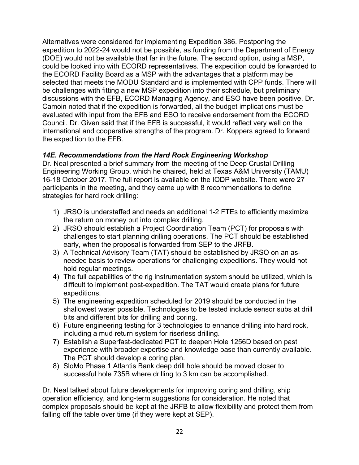Alternatives were considered for implementing Expedition 386. Postponing the expedition to 2022-24 would not be possible, as funding from the Department of Energy (DOE) would not be available that far in the future. The second option, using a MSP, could be looked into with ECORD representatives. The expedition could be forwarded to the ECORD Facility Board as a MSP with the advantages that a platform may be selected that meets the MODU Standard and is implemented with CPP funds. There will be challenges with fitting a new MSP expedition into their schedule, but preliminary discussions with the EFB, ECORD Managing Agency, and ESO have been positive. Dr. Camoin noted that if the expedition is forwarded, all the budget implications must be evaluated with input from the EFB and ESO to receive endorsement from the ECORD Council. Dr. Given said that if the EFB is successful, it would reflect very well on the international and cooperative strengths of the program. Dr. Koppers agreed to forward the expedition to the EFB.

#### *14E. Recommendations from the Hard Rock Engineering Workshop*

Dr. Neal presented a brief summary from the meeting of the Deep Crustal Drilling Engineering Working Group, which he chaired, held at Texas A&M University (TAMU) 16-18 October 2017. The full report is available on the IODP website. There were 27 participants in the meeting, and they came up with 8 recommendations to define strategies for hard rock drilling:

- 1) JRSO is understaffed and needs an additional 1-2 FTEs to efficiently maximize the return on money put into complex drilling.
- 2) JRSO should establish a Project Coordination Team (PCT) for proposals with challenges to start planning drilling operations. The PCT should be established early, when the proposal is forwarded from SEP to the JRFB.
- 3) A Technical Advisory Team (TAT) should be established by JRSO on an asneeded basis to review operations for challenging expeditions. They would not hold regular meetings.
- 4) The full capabilities of the rig instrumentation system should be utilized, which is difficult to implement post-expedition. The TAT would create plans for future expeditions.
- 5) The engineering expedition scheduled for 2019 should be conducted in the shallowest water possible. Technologies to be tested include sensor subs at drill bits and different bits for drilling and coring.
- 6) Future engineering testing for 3 technologies to enhance drilling into hard rock, including a mud return system for riserless drilling.
- 7) Establish a Superfast-dedicated PCT to deepen Hole 1256D based on past experience with broader expertise and knowledge base than currently available. The PCT should develop a coring plan.
- 8) SloMo Phase 1 Atlantis Bank deep drill hole should be moved closer to successful hole 735B where drilling to 3 km can be accomplished.

Dr. Neal talked about future developments for improving coring and drilling, ship operation efficiency, and long-term suggestions for consideration. He noted that complex proposals should be kept at the JRFB to allow flexibility and protect them from falling off the table over time (if they were kept at SEP).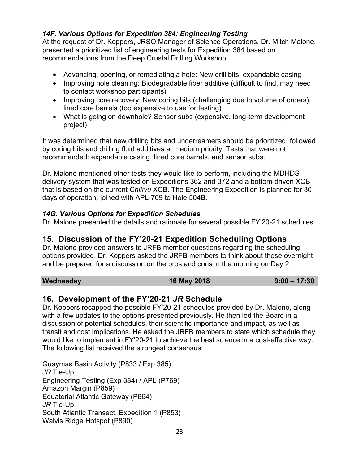## *14F. Various Options for Expedition 384: Engineering Testing*

At the request of Dr. Koppers, JRSO Manager of Science Operations, Dr. Mitch Malone, presented a prioritized list of engineering tests for Expedition 384 based on recommendations from the Deep Crustal Drilling Workshop:

- Advancing, opening, or remediating a hole: New drill bits, expandable casing
- Improving hole cleaning: Biodegradable fiber additive (difficult to find, may need to contact workshop participants)
- Improving core recovery: New coring bits (challenging due to volume of orders), lined core barrels (too expensive to use for testing)
- What is going on downhole? Sensor subs (expensive, long-term development project)

It was determined that new drilling bits and underreamers should be prioritized, followed by coring bits and drilling fluid additives at medium priority. Tests that were not recommended: expandable casing, lined core barrels, and sensor subs.

Dr. Malone mentioned other tests they would like to perform, including the MDHDS delivery system that was tested on Expeditions 362 and 372 and a bottom-driven XCB that is based on the current *Chikyu* XCB. The Engineering Expedition is planned for 30 days of operation, joined with APL-769 to Hole 504B.

#### *14G. Various Options for Expedition Schedules*

Dr. Malone presented the details and rationale for several possible FY'20-21 schedules.

## **15. Discussion of the FY'20-21 Expedition Scheduling Options**

Dr. Malone provided answers to JRFB member questions regarding the scheduling options provided. Dr. Koppers asked the JRFB members to think about these overnight and be prepared for a discussion on the pros and cons in the morning on Day 2.

| Wednesday | 16 May 2018 | $9:00 - 17:30$ |
|-----------|-------------|----------------|
|-----------|-------------|----------------|

## **16. Development of the FY'20-21** *JR* **Schedule**

Dr. Koppers recapped the possible FY'20-21 schedules provided by Dr. Malone, along with a few updates to the options presented previously. He then led the Board in a discussion of potential schedules, their scientific importance and impact, as well as transit and cost implications. He asked the JRFB members to state which schedule they would like to implement in FY'20-21 to achieve the best science in a cost-effective way. The following list received the strongest consensus:

Guaymas Basin Activity (P833 / Exp 385) *JR* Tie-Up Engineering Testing (Exp 384) / APL (P769) Amazon Margin (P859) Equatorial Atlantic Gateway (P864) *JR* Tie-Up South Atlantic Transect, Expedition 1 (P853) Walvis Ridge Hotspot (P890)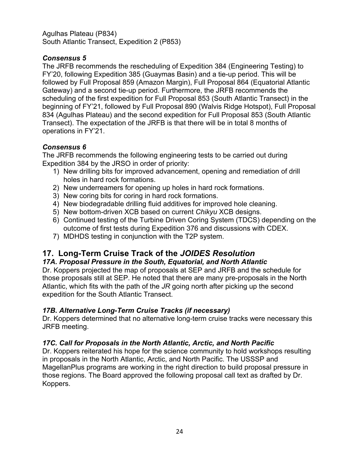Agulhas Plateau (P834) South Atlantic Transect, Expedition 2 (P853)

### *Consensus 5*

The JRFB recommends the rescheduling of Expedition 384 (Engineering Testing) to FY'20, following Expedition 385 (Guaymas Basin) and a tie-up period. This will be followed by Full Proposal 859 (Amazon Margin), Full Proposal 864 (Equatorial Atlantic Gateway) and a second tie-up period. Furthermore, the JRFB recommends the scheduling of the first expedition for Full Proposal 853 (South Atlantic Transect) in the beginning of FY'21, followed by Full Proposal 890 (Walvis Ridge Hotspot), Full Proposal 834 (Agulhas Plateau) and the second expedition for Full Proposal 853 (South Atlantic Transect). The expectation of the JRFB is that there will be in total 8 months of operations in FY'21.

#### *Consensus 6*

The JRFB recommends the following engineering tests to be carried out during Expedition 384 by the JRSO in order of priority:

- 1) New drilling bits for improved advancement, opening and remediation of drill holes in hard rock formations.
- 2) New underreamers for opening up holes in hard rock formations.
- 3) New coring bits for coring in hard rock formations.
- 4) New biodegradable drilling fluid additives for improved hole cleaning.
- 5) New bottom-driven XCB based on current *Chikyu* XCB designs.
- 6) Continued testing of the Turbine Driven Coring System (TDCS) depending on the outcome of first tests during Expedition 376 and discussions with CDEX.
- 7) MDHDS testing in conjunction with the T2P system.

## **17. Long-Term Cruise Track of the** *JOIDES Resolution*

#### *17A. Proposal Pressure in the South, Equatorial, and North Atlantic*

Dr. Koppers projected the map of proposals at SEP and JRFB and the schedule for those proposals still at SEP. He noted that there are many pre-proposals in the North Atlantic, which fits with the path of the *JR* going north after picking up the second expedition for the South Atlantic Transect.

#### *17B. Alternative Long-Term Cruise Tracks (if necessary)*

Dr. Koppers determined that no alternative long-term cruise tracks were necessary this JRFB meeting.

## *17C. Call for Proposals in the North Atlantic, Arctic, and North Pacific*

Dr. Koppers reiterated his hope for the science community to hold workshops resulting in proposals in the North Atlantic, Arctic, and North Pacific. The USSSP and MagellanPlus programs are working in the right direction to build proposal pressure in those regions. The Board approved the following proposal call text as drafted by Dr. Koppers.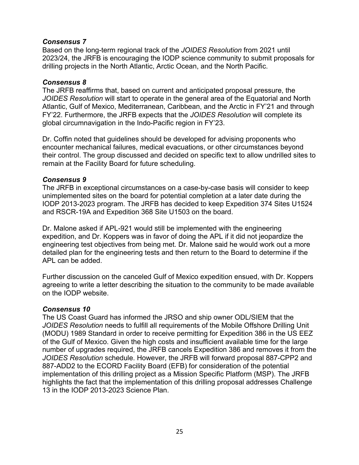#### *Consensus 7*

Based on the long-term regional track of the *JOIDES Resolution* from 2021 until 2023/24, the JRFB is encouraging the IODP science community to submit proposals for drilling projects in the North Atlantic, Arctic Ocean, and the North Pacific.

#### *Consensus 8*

The JRFB reaffirms that, based on current and anticipated proposal pressure, the *JOIDES Resolution* will start to operate in the general area of the Equatorial and North Atlantic, Gulf of Mexico, Mediterranean, Caribbean, and the Arctic in FY'21 and through FY'22. Furthermore, the JRFB expects that the *JOIDES Resolution* will complete its global circumnavigation in the Indo-Pacific region in FY'23.

Dr. Coffin noted that guidelines should be developed for advising proponents who encounter mechanical failures, medical evacuations, or other circumstances beyond their control. The group discussed and decided on specific text to allow undrilled sites to remain at the Facility Board for future scheduling.

#### *Consensus 9*

The JRFB in exceptional circumstances on a case-by-case basis will consider to keep unimplemented sites on the board for potential completion at a later date during the IODP 2013-2023 program. The JRFB has decided to keep Expedition 374 Sites U1524 and RSCR-19A and Expedition 368 Site U1503 on the board.

Dr. Malone asked if APL-921 would still be implemented with the engineering expedition, and Dr. Koppers was in favor of doing the APL if it did not jeopardize the engineering test objectives from being met. Dr. Malone said he would work out a more detailed plan for the engineering tests and then return to the Board to determine if the APL can be added.

Further discussion on the canceled Gulf of Mexico expedition ensued, with Dr. Koppers agreeing to write a letter describing the situation to the community to be made available on the IODP website.

#### *Consensus 10*

The US Coast Guard has informed the JRSO and ship owner ODL/SIEM that the *JOIDES Resolution* needs to fulfill all requirements of the Mobile Offshore Drilling Unit (MODU) 1989 Standard in order to receive permitting for Expedition 386 in the US EEZ of the Gulf of Mexico. Given the high costs and insufficient available time for the large number of upgrades required, the JRFB cancels Expedition 386 and removes it from the *JOIDES Resolution* schedule. However, the JRFB will forward proposal 887-CPP2 and 887-ADD2 to the ECORD Facility Board (EFB) for consideration of the potential implementation of this drilling project as a Mission Specific Platform (MSP). The JRFB highlights the fact that the implementation of this drilling proposal addresses Challenge 13 in the IODP 2013-2023 Science Plan.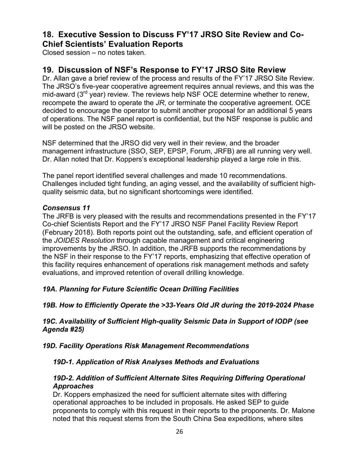## **18. Executive Session to Discuss FY'17 JRSO Site Review and Co-Chief Scientists' Evaluation Reports**

Closed session – no notes taken.

## **19. Discussion of NSF's Response to FY'17 JRSO Site Review**

Dr. Allan gave a brief review of the process and results of the FY'17 JRSO Site Review. The JRSO's five-year cooperative agreement requires annual reviews, and this was the mid-award (3<sup>rd</sup> year) review. The reviews help NSF OCE determine whether to renew, recompete the award to operate the *JR*, or terminate the cooperative agreement. OCE decided to encourage the operator to submit another proposal for an additional 5 years of operations. The NSF panel report is confidential, but the NSF response is public and will be posted on the JRSO website.

NSF determined that the JRSO did very well in their review, and the broader management infrastructure (SSO, SEP, EPSP, Forum, JRFB) are all running very well. Dr. Allan noted that Dr. Koppers's exceptional leadership played a large role in this.

The panel report identified several challenges and made 10 recommendations. Challenges included tight funding, an aging vessel, and the availability of sufficient highquality seismic data, but no significant shortcomings were identified.

#### *Consensus 11*

The JRFB is very pleased with the results and recommendations presented in the FY'17 Co-chief Scientists Report and the FY'17 JRSO NSF Panel Facility Review Report (February 2018). Both reports point out the outstanding, safe, and efficient operation of the *JOIDES Resolution* through capable management and critical engineering improvements by the JRSO. In addition, the JRFB supports the recommendations by the NSF in their response to the FY'17 reports, emphasizing that effective operation of this facility requires enhancement of operations risk management methods and safety evaluations, and improved retention of overall drilling knowledge.

#### *19A. Planning for Future Scientific Ocean Drilling Facilities*

#### *19B. How to Efficiently Operate the >33-Years Old JR during the 2019-2024 Phase*

*19C. Availability of Sufficient High-quality Seismic Data in Support of IODP (see Agenda #25)*

*19D. Facility Operations Risk Management Recommendations*

#### *19D-1. Application of Risk Analyses Methods and Evaluations*

#### *19D-2. Addition of Sufficient Alternate Sites Requiring Differing Operational Approaches*

Dr. Koppers emphasized the need for sufficient alternate sites with differing operational approaches to be included in proposals. He asked SEP to guide proponents to comply with this request in their reports to the proponents. Dr. Malone noted that this request stems from the South China Sea expeditions, where sites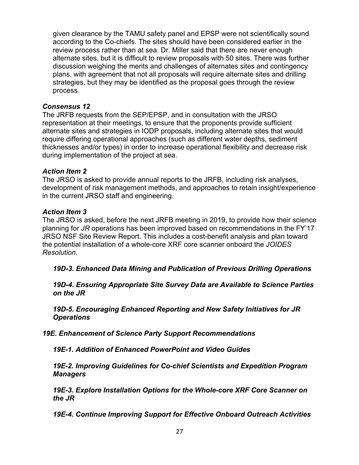given clearance by the TAMU safety panel and EPSP were not scientifically sound according to the Co-chiefs. The sites should have been considered earlier in the review process rather than at sea. Dr. Miller said that there are never enough alternate sites, but it is difficult to review proposals with 50 sites. There was further discussion weighing the merits and challenges of alternates sites and contingency plans, with agreement that not all proposals will require alternate sites and drilling strategies, but they may be identified as the proposal goes through the review process.

#### *Consensus 12*

The JRFB requests from the SEP/EPSP, and in consultation with the JRSO representation at their meetings, to ensure that the proponents provide sufficient alternate sites and strategies in IODP proposals, including alternate sites that would require differing operational approaches (such as different water depths, sediment thicknesses and/or types) in order to increase operational flexibility and decrease risk during implementation of the project at sea.

#### *Action Item 2*

The JRSO is asked to provide annual reports to the JRFB, including risk analyses, development of risk management methods, and approaches to retain insight/experience in the current JRSO staff and engineering.

#### *Action Item 3*

The JRSO is asked, before the next JRFB meeting in 2019, to provide how their science planning for *JR* operations has been improved based on recommendations in the FY'17 JRSO NSF Site Review Report. This includes a cost-benefit analysis and plan toward the potential installation of a whole-core XRF core scanner onboard the *JOIDES Resolution*.

*19D-3. Enhanced Data Mining and Publication of Previous Drilling Operations*

*19D-4. Ensuring Appropriate Site Survey Data are Available to Science Parties on the JR*

*19D-5. Encouraging Enhanced Reporting and New Safety Initiatives for JR Operations*

*19E. Enhancement of Science Party Support Recommendations*

*19E-1. Addition of Enhanced PowerPoint and Video Guides*

*19E-2. Improving Guidelines for Co-chief Scientists and Expedition Program Managers*

*19E-3. Explore Installation Options for the Whole-core XRF Core Scanner on the JR*

*19E-4. Continue Improving Support for Effective Onboard Outreach Activities*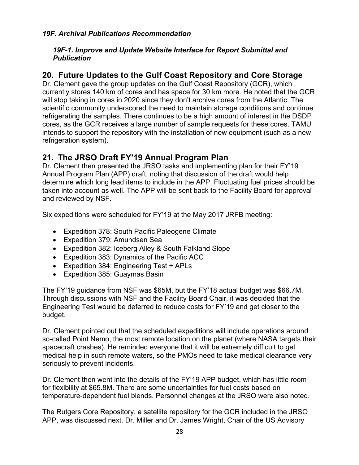#### *19F. Archival Publications Recommendation*

#### *19F-1. Improve and Update Website Interface for Report Submittal and Publication*

## **20. Future Updates to the Gulf Coast Repository and Core Storage**

Dr. Clement gave the group updates on the Gulf Coast Repository (GCR), which currently stores 140 km of cores and has space for 30 km more. He noted that the GCR will stop taking in cores in 2020 since they don't archive cores from the Atlantic. The scientific community underscored the need to maintain storage conditions and continue refrigerating the samples. There continues to be a high amount of interest in the DSDP cores, as the GCR receives a large number of sample requests for these cores. TAMU intends to support the repository with the installation of new equipment (such as a new refrigeration system).

## **21. The JRSO Draft FY'19 Annual Program Plan**

Dr. Clement then presented the JRSO tasks and implementing plan for their FY'19 Annual Program Plan (APP) draft, noting that discussion of the draft would help determine which long lead items to include in the APP. Fluctuating fuel prices should be taken into account as well. The APP will be sent back to the Facility Board for approval and reviewed by NSF.

Six expeditions were scheduled for FY'19 at the May 2017 JRFB meeting:

- Expedition 378: South Pacific Paleogene Climate
- Expedition 379: Amundsen Sea
- Expedition 382: Iceberg Alley & South Falkland Slope
- Expedition 383: Dynamics of the Pacific ACC
- Expedition 384: Engineering Test + APLs
- Expedition 385: Guaymas Basin

The FY'19 guidance from NSF was \$65M, but the FY'18 actual budget was \$66.7M. Through discussions with NSF and the Facility Board Chair, it was decided that the Engineering Test would be deferred to reduce costs for FY'19 and get closer to the budget.

Dr. Clement pointed out that the scheduled expeditions will include operations around so-called Point Nemo, the most remote location on the planet (where NASA targets their spacecraft crashes). He reminded everyone that it will be extremely difficult to get medical help in such remote waters, so the PMOs need to take medical clearance very seriously to prevent incidents.

Dr. Clement then went into the details of the FY'19 APP budget, which has little room for flexibility at \$65.8M. There are some uncertainties for fuel costs based on temperature-dependent fuel blends. Personnel changes at the JRSO were also noted.

The Rutgers Core Repository, a satellite repository for the GCR included in the JRSO APP, was discussed next. Dr. Miller and Dr. James Wright, Chair of the US Advisory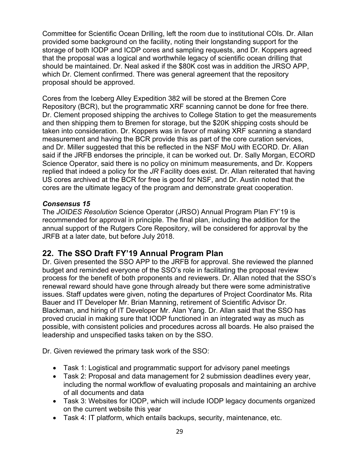Committee for Scientific Ocean Drilling, left the room due to institutional COIs. Dr. Allan provided some background on the facility, noting their longstanding support for the storage of both IODP and ICDP cores and sampling requests, and Dr. Koppers agreed that the proposal was a logical and worthwhile legacy of scientific ocean drilling that should be maintained. Dr. Neal asked if the \$80K cost was in addition the JRSO APP, which Dr. Clement confirmed. There was general agreement that the repository proposal should be approved.

Cores from the Iceberg Alley Expedition 382 will be stored at the Bremen Core Repository (BCR), but the programmatic XRF scanning cannot be done for free there. Dr. Clement proposed shipping the archives to College Station to get the measurements and then shipping them to Bremen for storage, but the \$20K shipping costs should be taken into consideration. Dr. Koppers was in favor of making XRF scanning a standard measurement and having the BCR provide this as part of the core curation services, and Dr. Miller suggested that this be reflected in the NSF MoU with ECORD. Dr. Allan said if the JRFB endorses the principle, it can be worked out. Dr. Sally Morgan, ECORD Science Operator, said there is no policy on minimum measurements, and Dr. Koppers replied that indeed a policy for the *JR* Facility does exist. Dr. Allan reiterated that having US cores archived at the BCR for free is good for NSF, and Dr. Austin noted that the cores are the ultimate legacy of the program and demonstrate great cooperation.

#### *Consensus 15*

The *JOIDES Resolution* Science Operator (JRSO) Annual Program Plan FY'19 is recommended for approval in principle. The final plan, including the addition for the annual support of the Rutgers Core Repository, will be considered for approval by the JRFB at a later date, but before July 2018.

## **22. The SSO Draft FY'19 Annual Program Plan**

Dr. Given presented the SSO APP to the JRFB for approval. She reviewed the planned budget and reminded everyone of the SSO's role in facilitating the proposal review process for the benefit of both proponents and reviewers. Dr. Allan noted that the SSO's renewal reward should have gone through already but there were some administrative issues. Staff updates were given, noting the departures of Project Coordinator Ms. Rita Bauer and IT Developer Mr. Brian Manning, retirement of Scientific Advisor Dr. Blackman, and hiring of IT Developer Mr. Alan Yang. Dr. Allan said that the SSO has proved crucial in making sure that IODP functioned in an integrated way as much as possible, with consistent policies and procedures across all boards. He also praised the leadership and unspecified tasks taken on by the SSO.

Dr. Given reviewed the primary task work of the SSO:

- Task 1: Logistical and programmatic support for advisory panel meetings
- Task 2: Proposal and data management for 2 submission deadlines every year, including the normal workflow of evaluating proposals and maintaining an archive of all documents and data
- Task 3: Websites for IODP, which will include IODP legacy documents organized on the current website this year
- Task 4: IT platform, which entails backups, security, maintenance, etc.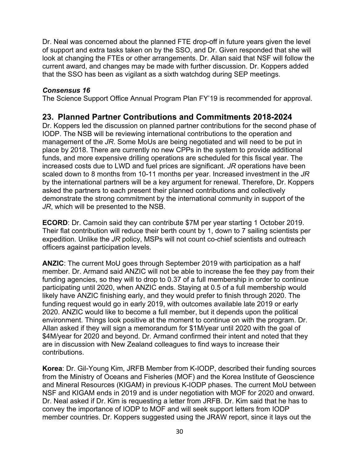Dr. Neal was concerned about the planned FTE drop-off in future years given the level of support and extra tasks taken on by the SSO, and Dr. Given responded that she will look at changing the FTEs or other arrangements. Dr. Allan said that NSF will follow the current award, and changes may be made with further discussion. Dr. Koppers added that the SSO has been as vigilant as a sixth watchdog during SEP meetings.

#### *Consensus 16*

The Science Support Office Annual Program Plan FY'19 is recommended for approval.

## **23. Planned Partner Contributions and Commitments 2018-2024**

Dr. Koppers led the discussion on planned partner contributions for the second phase of IODP. The NSB will be reviewing international contributions to the operation and management of the *JR*. Some MoUs are being negotiated and will need to be put in place by 2018. There are currently no new CPPs in the system to provide additional funds, and more expensive drilling operations are scheduled for this fiscal year. The increased costs due to LWD and fuel prices are significant. *JR* operations have been scaled down to 8 months from 10-11 months per year. Increased investment in the *JR* by the international partners will be a key argument for renewal. Therefore, Dr. Koppers asked the partners to each present their planned contributions and collectively demonstrate the strong commitment by the international community in support of the *JR*, which will be presented to the NSB.

**ECORD**: Dr. Camoin said they can contribute \$7M per year starting 1 October 2019. Their flat contribution will reduce their berth count by 1, down to 7 sailing scientists per expedition. Unlike the *JR* policy, MSPs will not count co-chief scientists and outreach officers against participation levels.

**ANZIC**: The current MoU goes through September 2019 with participation as a half member. Dr. Armand said ANZIC will not be able to increase the fee they pay from their funding agencies, so they will to drop to 0.37 of a full membership in order to continue participating until 2020, when ANZIC ends. Staying at 0.5 of a full membership would likely have ANZIC finishing early, and they would prefer to finish through 2020. The funding request would go in early 2019, with outcomes available late 2019 or early 2020. ANZIC would like to become a full member, but it depends upon the political environment. Things look positive at the moment to continue on with the program. Dr. Allan asked if they will sign a memorandum for \$1M/year until 2020 with the goal of \$4M/year for 2020 and beyond. Dr. Armand confirmed their intent and noted that they are in discussion with New Zealand colleagues to find ways to increase their contributions.

**Korea**: Dr. Gil-Young Kim, JRFB Member from K-IODP, described their funding sources from the Ministry of Oceans and Fisheries (MOF) and the Korea Institute of Geoscience and Mineral Resources (KIGAM) in previous K-IODP phases. The current MoU between NSF and KIGAM ends in 2019 and is under negotiation with MOF for 2020 and onward. Dr. Neal asked if Dr. Kim is requesting a letter from JRFB. Dr. Kim said that he has to convey the importance of IODP to MOF and will seek support letters from IODP member countries. Dr. Koppers suggested using the JRAW report, since it lays out the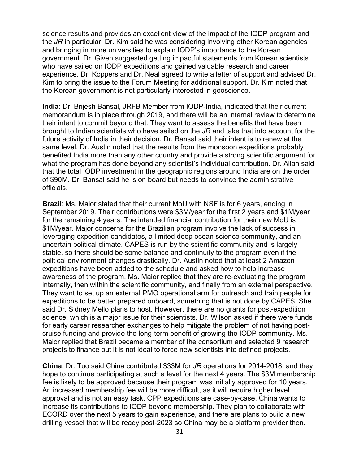science results and provides an excellent view of the impact of the IODP program and the *JR* in particular. Dr. Kim said he was considering involving other Korean agencies and bringing in more universities to explain IODP's importance to the Korean government. Dr. Given suggested getting impactful statements from Korean scientists who have sailed on IODP expeditions and gained valuable research and career experience. Dr. Koppers and Dr. Neal agreed to write a letter of support and advised Dr. Kim to bring the issue to the Forum Meeting for additional support. Dr. Kim noted that the Korean government is not particularly interested in geoscience.

**India**: Dr. Brijesh Bansal, JRFB Member from IODP-India, indicated that their current memorandum is in place through 2019, and there will be an internal review to determine their intent to commit beyond that. They want to assess the benefits that have been brought to Indian scientists who have sailed on the *JR* and take that into account for the future activity of India in their decision. Dr. Bansal said their intent is to renew at the same level. Dr. Austin noted that the results from the monsoon expeditions probably benefited India more than any other country and provide a strong scientific argument for what the program has done beyond any scientist's individual contribution. Dr. Allan said that the total IODP investment in the geographic regions around India are on the order of \$90M. Dr. Bansal said he is on board but needs to convince the administrative officials.

**Brazil**: Ms. Maior stated that their current MoU with NSF is for 6 years, ending in September 2019. Their contributions were \$3M/year for the first 2 years and \$1M/year for the remaining 4 years. The intended financial contribution for their new MoU is \$1M/year. Major concerns for the Brazilian program involve the lack of success in leveraging expedition candidates, a limited deep ocean science community, and an uncertain political climate. CAPES is run by the scientific community and is largely stable, so there should be some balance and continuity to the program even if the political environment changes drastically. Dr. Austin noted that at least 2 Amazon expeditions have been added to the schedule and asked how to help increase awareness of the program. Ms. Maior replied that they are re-evaluating the program internally, then within the scientific community, and finally from an external perspective. They want to set up an external PMO operational arm for outreach and train people for expeditions to be better prepared onboard, something that is not done by CAPES. She said Dr. Sidney Mello plans to host. However, there are no grants for post-expedition science, which is a major issue for their scientists. Dr. Wilson asked if there were funds for early career researcher exchanges to help mitigate the problem of not having postcruise funding and provide the long-term benefit of growing the IODP community. Ms. Maior replied that Brazil became a member of the consortium and selected 9 research projects to finance but it is not ideal to force new scientists into defined projects.

**China**: Dr. Tuo said China contributed \$33M for *JR* operations for 2014-2018, and they hope to continue participating at such a level for the next 4 years. The \$3M membership fee is likely to be approved because their program was initially approved for 10 years. An increased membership fee will be more difficult, as it will require higher level approval and is not an easy task. CPP expeditions are case-by-case. China wants to increase its contributions to IODP beyond membership. They plan to collaborate with ECORD over the next 5 years to gain experience, and there are plans to build a new drilling vessel that will be ready post-2023 so China may be a platform provider then.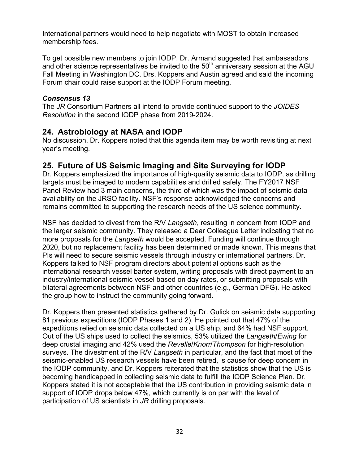International partners would need to help negotiate with MOST to obtain increased membership fees.

To get possible new members to join IODP, Dr. Armand suggested that ambassadors and other science representatives be invited to the  $50<sup>th</sup>$  anniversary session at the AGU Fall Meeting in Washington DC. Drs. Koppers and Austin agreed and said the incoming Forum chair could raise support at the IODP Forum meeting.

#### *Consensus 13*

The *JR* Consortium Partners all intend to provide continued support to the *JOIDES Resolution* in the second IODP phase from 2019-2024.

## **24. Astrobiology at NASA and IODP**

No discussion. Dr. Koppers noted that this agenda item may be worth revisiting at next year's meeting.

## **25. Future of US Seismic Imaging and Site Surveying for IODP**

Dr. Koppers emphasized the importance of high-quality seismic data to IODP, as drilling targets must be imaged to modern capabilities and drilled safely. The FY2017 NSF Panel Review had 3 main concerns, the third of which was the impact of seismic data availability on the JRSO facility. NSF's response acknowledged the concerns and remains committed to supporting the research needs of the US science community.

NSF has decided to divest from the R/V *Langseth*, resulting in concern from IODP and the larger seismic community. They released a Dear Colleague Letter indicating that no more proposals for the *Langseth* would be accepted. Funding will continue through 2020, but no replacement facility has been determined or made known. This means that PIs will need to secure seismic vessels through industry or international partners. Dr. Koppers talked to NSF program directors about potential options such as the international research vessel barter system, writing proposals with direct payment to an industry/international seismic vessel based on day rates, or submitting proposals with bilateral agreements between NSF and other countries (e.g., German DFG). He asked the group how to instruct the community going forward.

Dr. Koppers then presented statistics gathered by Dr. Gulick on seismic data supporting 81 previous expeditions (IODP Phases 1 and 2). He pointed out that 47% of the expeditions relied on seismic data collected on a US ship, and 64% had NSF support. Out of the US ships used to collect the seismics, 53% utilized the *Langseth*/*Ewing* for deep crustal imaging and 42% used the *Revelle*/*Knorr*/*Thompson* for high-resolution surveys. The divestment of the R/V *Langseth* in particular, and the fact that most of the seismic-enabled US research vessels have been retired, is cause for deep concern in the IODP community, and Dr. Koppers reiterated that the statistics show that the US is becoming handicapped in collecting seismic data to fulfill the IODP Science Plan. Dr. Koppers stated it is not acceptable that the US contribution in providing seismic data in support of IODP drops below 47%, which currently is on par with the level of participation of US scientists in *JR* drilling proposals.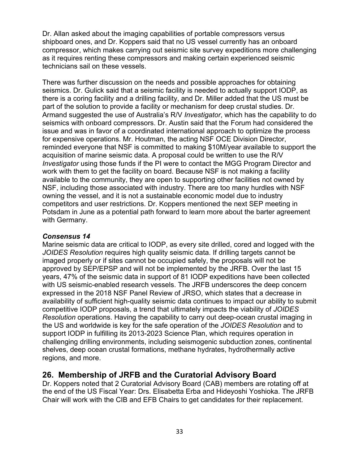Dr. Allan asked about the imaging capabilities of portable compressors versus shipboard ones, and Dr. Koppers said that no US vessel currently has an onboard compressor, which makes carrying out seismic site survey expeditions more challenging as it requires renting these compressors and making certain experienced seismic technicians sail on these vessels.

There was further discussion on the needs and possible approaches for obtaining seismics. Dr. Gulick said that a seismic facility is needed to actually support IODP, as there is a coring facility and a drilling facility, and Dr. Miller added that the US must be part of the solution to provide a facility or mechanism for deep crustal studies. Dr. Armand suggested the use of Australia's R/V *Investigator*, which has the capability to do seismics with onboard compressors. Dr. Austin said that the Forum had considered the issue and was in favor of a coordinated international approach to optimize the process for expensive operations. Mr. Houtman, the acting NSF OCE Division Director, reminded everyone that NSF is committed to making \$10M/year available to support the acquisition of marine seismic data. A proposal could be written to use the R/V *Investigator* using those funds if the PI were to contact the MGG Program Director and work with them to get the facility on board. Because NSF is not making a facility available to the community, they are open to supporting other facilities not owned by NSF, including those associated with industry. There are too many hurdles with NSF owning the vessel, and it is not a sustainable economic model due to industry competitors and user restrictions. Dr. Koppers mentioned the next SEP meeting in Potsdam in June as a potential path forward to learn more about the barter agreement with Germany.

#### *Consensus 14*

Marine seismic data are critical to IODP, as every site drilled, cored and logged with the *JOIDES Resolution* requires high quality seismic data. If drilling targets cannot be imaged properly or if sites cannot be occupied safely, the proposals will not be approved by SEP/EPSP and will not be implemented by the JRFB. Over the last 15 years, 47% of the seismic data in support of 81 IODP expeditions have been collected with US seismic-enabled research vessels. The JRFB underscores the deep concern expressed in the 2018 NSF Panel Review of JRSO, which states that a decrease in availability of sufficient high-quality seismic data continues to impact our ability to submit competitive IODP proposals, a trend that ultimately impacts the viability of *JOIDES Resolution* operations. Having the capability to carry out deep-ocean crustal imaging in the US and worldwide is key for the safe operation of the *JOIDES Resolution* and to support IODP in fulfilling its 2013-2023 Science Plan, which requires operation in challenging drilling environments, including seismogenic subduction zones, continental shelves, deep ocean crustal formations, methane hydrates, hydrothermally active regions, and more.

## **26. Membership of JRFB and the Curatorial Advisory Board**

Dr. Koppers noted that 2 Curatorial Advisory Board (CAB) members are rotating off at the end of the US Fiscal Year: Drs. Elisabetta Erba and Hideyoshi Yoshioka. The JRFB Chair will work with the CIB and EFB Chairs to get candidates for their replacement.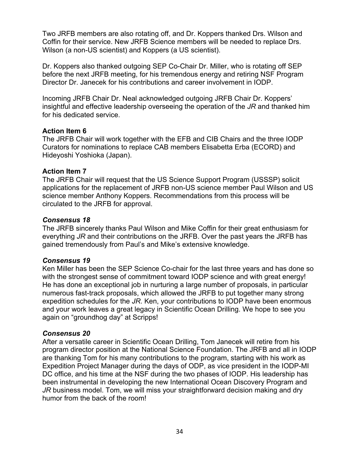Two JRFB members are also rotating off, and Dr. Koppers thanked Drs. Wilson and Coffin for their service. New JRFB Science members will be needed to replace Drs. Wilson (a non-US scientist) and Koppers (a US scientist).

Dr. Koppers also thanked outgoing SEP Co-Chair Dr. Miller, who is rotating off SEP before the next JRFB meeting, for his tremendous energy and retiring NSF Program Director Dr. Janecek for his contributions and career involvement in IODP.

Incoming JRFB Chair Dr. Neal acknowledged outgoing JRFB Chair Dr. Koppers' insightful and effective leadership overseeing the operation of the *JR* and thanked him for his dedicated service.

#### **Action Item 6**

The JRFB Chair will work together with the EFB and CIB Chairs and the three IODP Curators for nominations to replace CAB members Elisabetta Erba (ECORD) and Hideyoshi Yoshioka (Japan).

#### **Action Item 7**

The JRFB Chair will request that the US Science Support Program (USSSP) solicit applications for the replacement of JRFB non-US science member Paul Wilson and US science member Anthony Koppers. Recommendations from this process will be circulated to the JRFB for approval.

#### *Consensus 18*

The JRFB sincerely thanks Paul Wilson and Mike Coffin for their great enthusiasm for everything *JR* and their contributions on the JRFB. Over the past years the JRFB has gained tremendously from Paul's and Mike's extensive knowledge.

#### *Consensus 19*

Ken Miller has been the SEP Science Co-chair for the last three years and has done so with the strongest sense of commitment toward IODP science and with great energy! He has done an exceptional job in nurturing a large number of proposals, in particular numerous fast-track proposals, which allowed the JRFB to put together many strong expedition schedules for the *JR*. Ken, your contributions to IODP have been enormous and your work leaves a great legacy in Scientific Ocean Drilling. We hope to see you again on "groundhog day" at Scripps!

#### *Consensus 20*

After a versatile career in Scientific Ocean Drilling, Tom Janecek will retire from his program director position at the National Science Foundation. The JRFB and all in IODP are thanking Tom for his many contributions to the program, starting with his work as Expedition Project Manager during the days of ODP, as vice president in the IODP-MI DC office, and his time at the NSF during the two phases of IODP. His leadership has been instrumental in developing the new International Ocean Discovery Program and *JR* business model. Tom, we will miss your straightforward decision making and dry humor from the back of the room!